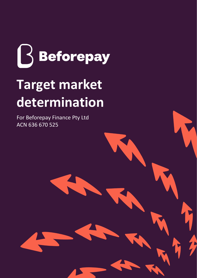

# **Target market determination**

For Beforepay Finance Pty Ltd ACN 636 670 525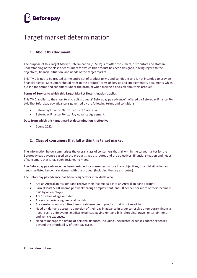### **Beforepay**

### Target market determination

#### **1. About this document**

The purpose of this Target Market Determination ("TMD") is to offer consumers, distributors and staff an understanding of the class of consumers for which this product has been designed, having regard to the objectives, financial situation, and needs of the target market.

This TMD is not to be treated as the entire set of product terms and conditions and is not intended to provide financial advice. Consumers should refer to the product Terms of Service and supplementary documents which outline the terms and conditions under the product when making a decision about this product.

#### **Terms of Service to which this Target Market Determination applies**

This TMD applies to the short term credit product ("Beforepay pay advance") offered by Beforepay Finance Pty Ltd. The Beforepay pay advance is governed by the following terms and conditions:

- Beforepay Finance Pty Ltd Terms of Service; and
- Beforepay Finance Pty Ltd Pay Advance Agreement.

#### **Date from which this target market determination is effective**

 $\bullet$  2 June 2022

#### **2. Class of consumers that fall within this target market**

The information below summarises the overall class of consumers that fall within the target market for the Beforepay pay advance based on the product's key attributes and the objectives, financial situation and needs of consumers that it has been designed to meet.

The Beforepay pay advance has been designed for consumers whose likely objectives, financial situation and needs (as listed below) are aligned with the product (including the key attributes).

The Beforepay pay advance has been designed for individuals who:

- Are an Australian resident and receive their income paid into an Australian bank account.
- Earn at least \$300 income per week through employment, and 50 per cent or more of their income is paid by an employer.
- Are 18 years of age or older.
- Are not experiencing financial hardship.
- Are seeking a low cost, fixed fee, short-term credit product that is not revolving.
- Need on-demand access to a portion of their pay in advance in order to resolve a temporary financial need, such as life events, medical expenses, paying rent and bills, shopping, travel, entertainment, and vehicle expenses.
- Need to manage the timing of personal finances, including unexpected expenses and/or expenses beyond the affordability of their pay cycle.

#### **Product description**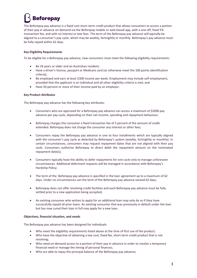## Beforepay

The Beforepay pay advance is a fixed cost short-term credit product that allows consumers to access a portion of their pay in advance on-demand via the Beforepay mobile or web-based app, with a one-off, fixed 5% transaction fee, and with no interest or late fees. The term of the Beforepay pay advance will typically be aligned to a consumer's pay cycle, which may be weekly, fortnightly or monthly. Beforepay's pay advance must be fully repaid within 62 days.

#### **Key Eligibility Requirements**

To be eligible for a Beforepay pay advance, new consumers must meet the following eligibility requirements:

- Be 18 years or older and an Australian resident;
- Have a driver's licence, passport or Medicare card (or otherwise meet the 100 points identification criteria);
- Be employed and earn at least \$300 income per week. Employment may include self-employment, provided that the applicant is an individual and all other eligibility criteria is met; and
- Have 50 percent or more of their income paid by an employer.

#### **Key Product Attributes**

The Beforepay pay advance has the following key attributes:

- Consumers who are approved for a Beforepay pay advance can access a maximum of \$2000 pay advance per pay cycle, depending on their net income, spending and repayment behaviour;
- Beforepay charges the consumer a fixed transaction fee of 5 percent of the amount of credit extended. Beforepay does not charge the consumer any interest or other fees;
- Consumers repay the Beforepay pay advance in one to four installments which are typically aligned with the consumer's pay cycle as detected by Beforepay's system (weekly, fortnightly or monthly). In certain circumstances, consumers may request repayment dates that are not aligned with their pay cycle. Consumers authorise Beforepay to direct debit the repayment amount on the nominated repayment date(s);
- Consumers typically have the ability to defer repayments for one cycle only to manage unforeseen circumstances. Additional deferment requests will be managed in accordance with Beforepay's Hardship Policy;
- The term of the Beforepay pay advance is specified in the loan agreement up to a maximum of 62 days. Under no circumstances can the term of the Beforepay pay advance exceed 62 days;
- Beforepay does not offer revolving credit facilities and each Beforepay pay advance must be fully settled prior to a new application being accepted;
- An existing consumer who wishes to apply for an additional loan may only do so if they have successfully repaid all prior loans. An existing consumer that was previously in default under the loan but has now cured their loan in full may apply for a new loan;

#### **Objectives, financial situation, and needs**

The Beforepay pay advance has been designed for individuals:

- Who meet the eligibility requirements listed above at the time of first use of the product;
- Who have the objective of obtaining a low cost, fixed fee, short-term credit product that is not revolving;
- Who need on-demand access to a portion of their pay in advance in order to resolve a temporary financial need or manage the timing of personal finances;
- Who are able to repay the principal balance of the Beforepay pay advance;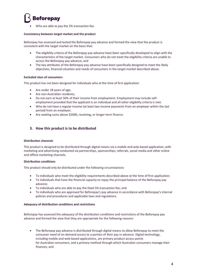### **Beforepay**

Who are able to pay the 5% transaction fee.

#### **Consistency between target market and the product**

Beforepay has assessed and tested the Beforepay pay advance and formed the view that the product is consistent with the target market on the basis that:

- The eligibility criteria of the Beforepay pay advance have been specifically developed to align with the characteristics of the target market. Consumers who do not meet the eligibility criteria are unable to access the Beforepay pay advance; and
- The key attributes of the Beforepay pay advance have been specifically designed to meet the likely objectives, financial situation and needs of consumers in the target market described above.

#### **Excluded class of consumers**

This product has not been designed for individuals who at the time of first application:

- Are under 18 years of age;
- Are non-Australian residents;
- Do not earn at least 50% of their income from employment. Employment may include selfemployment provided that the applicant is an individual and all other eligibility criteria is met.
- Who do not have a regular income (at least two income payments from an employer within the last period) from an employer;
- Are seeking sums above \$2000, revolving, or longer term finance.

#### **3. How this product is to be distributed**

#### **Distribution channels**

This product is designed to be distributed through digital means via a mobile and web-based application, with marketing and advertising conducted via partnerships, sponsorships, referrals, social media and other online and offline marketing channels.

#### **Distribution conditions**

This product should only be distributed under the following circumstances:

- To individuals who meet the eligibility requirements described above at the time of first application;
- To individuals that have the financial capacity to repay the principal balance of the Beforepay pay advance;
- To individuals who are able to pay the fixed 5% transaction fee; and
- To individuals who are approved for Beforepay's pay advance in accordance with Beforepay's internal policies and procedures and applicable laws and regulations.

#### **Adequacy of distribution conditions and restrictions**

Beforepay has assessed the adequacy of the distribution conditions and restrictions of the Beforepay pay advance and formed the view that they are appropriate for the following reasons:

• The Beforepay pay advance is distributed through digital means to allow Beforepay to meet the consumer need of on-demand access to a portion of their pay in advance. Digital technology, including mobile and web-based applications, are primary product access points for Australian consumers, and a primary method through which Australian consumers manage their finances; and